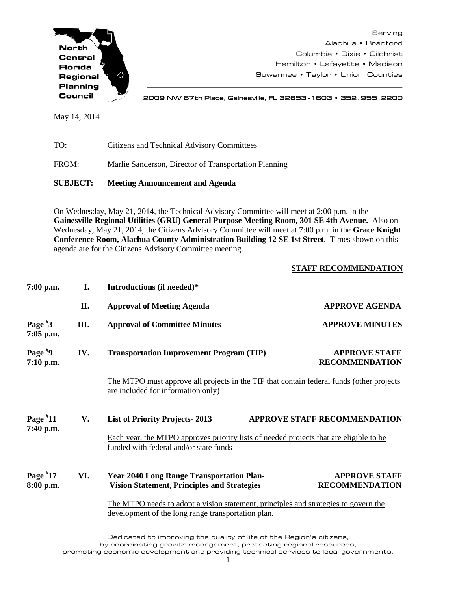

Serving Alachua • Bradford Columbia • Dixie • Gilchrist Hamilton • Lafayette • Madison Suwannee • Taylor • Union Counties

2009 NW 67th Place, Gainesville, FL 32653 -1603 • 352**.**955**.**2200

May 14, 2014

TO: Citizens and Technical Advisory Committees FROM: Marlie Sanderson, Director of Transportation Planning

**SUBJECT: Meeting Announcement and Agenda**

On Wednesday, May 21, 2014, the Technical Advisory Committee will meet at 2:00 p.m. in the **Gainesville Regional Utilities (GRU) General Purpose Meeting Room, 301 SE 4th Avenue.** Also on Wednesday, May 21, 2014, the Citizens Advisory Committee will meet at 7:00 p.m. in the **Grace Knight Conference Room, Alachua County Administration Building 12 SE 1st Street**. Times shown on this agenda are for the Citizens Advisory Committee meeting.

## **STAFF RECOMMENDATION**

| 7:00 p.m.                | I.                                                                                                                               | Introductions (if needed)*                                                                                                                |                                               |
|--------------------------|----------------------------------------------------------------------------------------------------------------------------------|-------------------------------------------------------------------------------------------------------------------------------------------|-----------------------------------------------|
|                          | II.                                                                                                                              | <b>Approval of Meeting Agenda</b>                                                                                                         | <b>APPROVE AGENDA</b>                         |
| Page $*3$<br>$7:05$ p.m. | Ш.                                                                                                                               | <b>Approval of Committee Minutes</b>                                                                                                      | <b>APPROVE MINUTES</b>                        |
| Page $*9$<br>7:10 p.m.   | IV.                                                                                                                              | <b>Transportation Improvement Program (TIP)</b>                                                                                           | <b>APPROVE STAFF</b><br><b>RECOMMENDATION</b> |
|                          | The MTPO must approve all projects in the TIP that contain federal funds (other projects)<br>are included for information only)  |                                                                                                                                           |                                               |
| Page $*11$<br>7:40 p.m.  | V.                                                                                                                               | <b>List of Priority Projects-2013</b>                                                                                                     | <b>APPROVE STAFF RECOMMENDATION</b>           |
|                          | Each year, the MTPO approves priority lists of needed projects that are eligible to be<br>funded with federal and/or state funds |                                                                                                                                           |                                               |
| Page $*17$<br>8:00 p.m.  | VI.                                                                                                                              | <b>Year 2040 Long Range Transportation Plan-</b><br><b>Vision Statement, Principles and Strategies</b>                                    | <b>APPROVE STAFF</b><br><b>RECOMMENDATION</b> |
|                          |                                                                                                                                  | The MTPO needs to adopt a vision statement, principles and strategies to govern the<br>development of the long range transportation plan. |                                               |